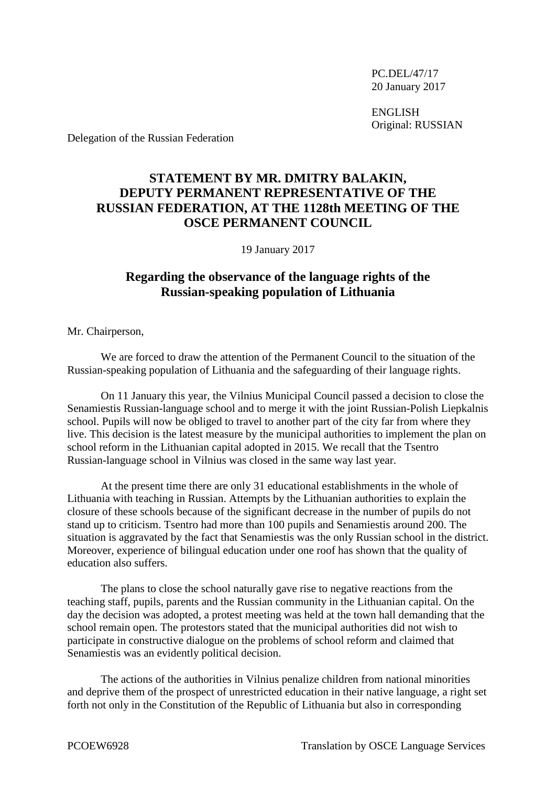PC.DEL/47/17 20 January 2017

ENGLISH Original: RUSSIAN

Delegation of the Russian Federation

## **STATEMENT BY MR. DMITRY BALAKIN, DEPUTY PERMANENT REPRESENTATIVE OF THE RUSSIAN FEDERATION, AT THE 1128th MEETING OF THE OSCE PERMANENT COUNCIL**

19 January 2017

## **Regarding the observance of the language rights of the Russian-speaking population of Lithuania**

Mr. Chairperson,

We are forced to draw the attention of the Permanent Council to the situation of the Russian-speaking population of Lithuania and the safeguarding of their language rights.

On 11 January this year, the Vilnius Municipal Council passed a decision to close the Senamiestis Russian-language school and to merge it with the joint Russian-Polish Liepkalnis school. Pupils will now be obliged to travel to another part of the city far from where they live. This decision is the latest measure by the municipal authorities to implement the plan on school reform in the Lithuanian capital adopted in 2015. We recall that the Tsentro Russian-language school in Vilnius was closed in the same way last year.

At the present time there are only 31 educational establishments in the whole of Lithuania with teaching in Russian. Attempts by the Lithuanian authorities to explain the closure of these schools because of the significant decrease in the number of pupils do not stand up to criticism. Tsentro had more than 100 pupils and Senamiestis around 200. The situation is aggravated by the fact that Senamiestis was the only Russian school in the district. Moreover, experience of bilingual education under one roof has shown that the quality of education also suffers.

The plans to close the school naturally gave rise to negative reactions from the teaching staff, pupils, parents and the Russian community in the Lithuanian capital. On the day the decision was adopted, a protest meeting was held at the town hall demanding that the school remain open. The protestors stated that the municipal authorities did not wish to participate in constructive dialogue on the problems of school reform and claimed that Senamiestis was an evidently political decision.

The actions of the authorities in Vilnius penalize children from national minorities and deprive them of the prospect of unrestricted education in their native language, a right set forth not only in the Constitution of the Republic of Lithuania but also in corresponding